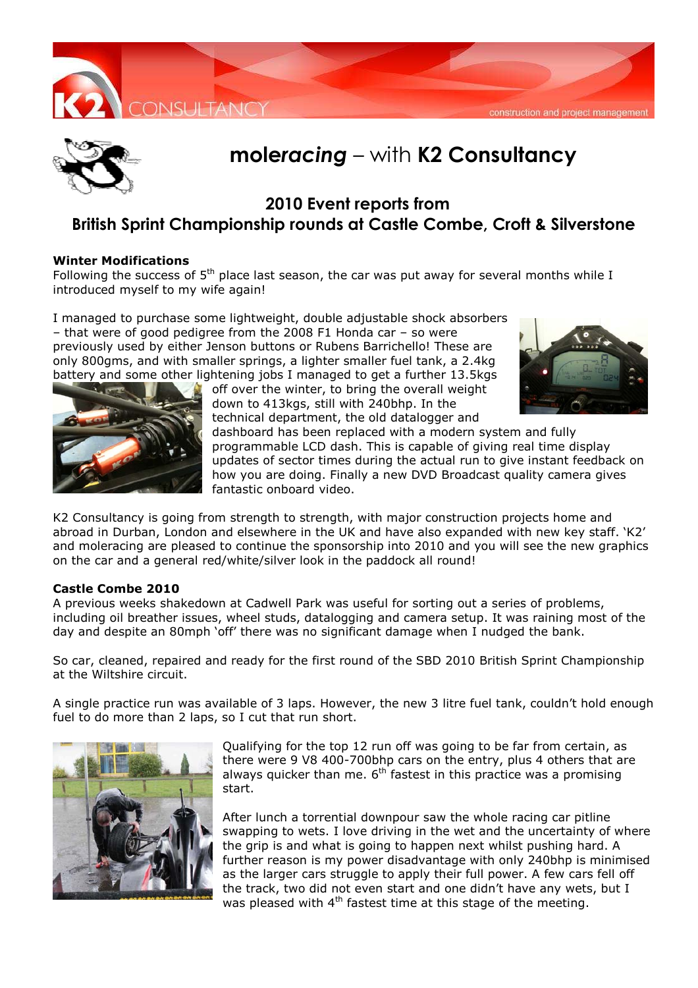



# **mole***racing* – with **K2 Consultancy**

## **2010 Event reports from British Sprint Championship rounds at Castle Combe, Croft & Silverstone**

#### **Winter Modifications**

Following the success of  $5<sup>th</sup>$  place last season, the car was put away for several months while I introduced myself to my wife again!

I managed to purchase some lightweight, double adjustable shock absorbers – that were of good pedigree from the 2008 F1 Honda car – so were previously used by either Jenson buttons or Rubens Barrichello! These are only 800gms, and with smaller springs, a lighter smaller fuel tank, a 2.4kg battery and some other lightening jobs I managed to get a further 13.5kgs





off over the winter, to bring the overall weight down to 413kgs, still with 240bhp. In the technical department, the old datalogger and

dashboard has been replaced with a modern system and fully programmable LCD dash. This is capable of giving real time display updates of sector times during the actual run to give instant feedback on how you are doing. Finally a new DVD Broadcast quality camera gives fantastic onboard video.

K2 Consultancy is going from strength to strength, with major construction projects home and abroad in Durban, London and elsewhere in the UK and have also expanded with new key staff. 'K2' and moleracing are pleased to continue the sponsorship into 2010 and you will see the new graphics on the car and a general red/white/silver look in the paddock all round!

#### **Castle Combe 2010**

A previous weeks shakedown at Cadwell Park was useful for sorting out a series of problems, including oil breather issues, wheel studs, datalogging and camera setup. It was raining most of the day and despite an 80mph 'off' there was no significant damage when I nudged the bank.

So car, cleaned, repaired and ready for the first round of the SBD 2010 British Sprint Championship at the Wiltshire circuit.

A single practice run was available of 3 laps. However, the new 3 litre fuel tank, couldn't hold enough fuel to do more than 2 laps, so I cut that run short.



Qualifying for the top 12 run off was going to be far from certain, as there were 9 V8 400-700bhp cars on the entry, plus 4 others that are always quicker than me.  $6<sup>th</sup>$  fastest in this practice was a promising start.

After lunch a torrential downpour saw the whole racing car pitline swapping to wets. I love driving in the wet and the uncertainty of where the grip is and what is going to happen next whilst pushing hard. A further reason is my power disadvantage with only 240bhp is minimised as the larger cars struggle to apply their full power. A few cars fell off the track, two did not even start and one didn't have any wets, but I was pleased with  $4<sup>th</sup>$  fastest time at this stage of the meeting.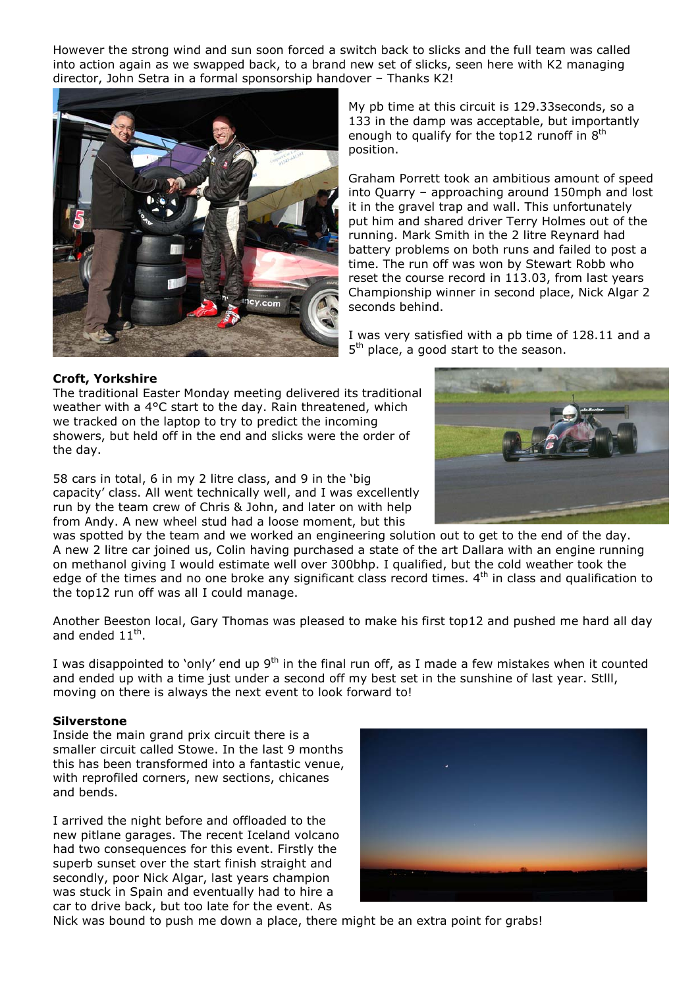However the strong wind and sun soon forced a switch back to slicks and the full team was called into action again as we swapped back, to a brand new set of slicks, seen here with K2 managing director, John Setra in a formal sponsorship handover – Thanks K2!



My pb time at this circuit is 129.33seconds, so a 133 in the damp was acceptable, but importantly enough to qualify for the top12 runoff in  $8<sup>th</sup>$ position.

Graham Porrett took an ambitious amount of speed into Quarry – approaching around 150mph and lost it in the gravel trap and wall. This unfortunately put him and shared driver Terry Holmes out of the running. Mark Smith in the 2 litre Reynard had battery problems on both runs and failed to post a time. The run off was won by Stewart Robb who reset the course record in 113.03, from last years Championship winner in second place, Nick Algar 2 seconds behind.

I was very satisfied with a pb time of 128.11 and a 5<sup>th</sup> place, a good start to the season.

### **Croft, Yorkshire**

The traditional Easter Monday meeting delivered its traditional weather with a 4°C start to the day. Rain threatened, which we tracked on the laptop to try to predict the incoming showers, but held off in the end and slicks were the order of the day.

58 cars in total, 6 in my 2 litre class, and 9 in the 'big capacity' class. All went technically well, and I was excellently run by the team crew of Chris & John, and later on with help from Andy. A new wheel stud had a loose moment, but this

was spotted by the team and we worked an engineering solution out to get to the end of the day. A new 2 litre car joined us, Colin having purchased a state of the art Dallara with an engine running on methanol giving I would estimate well over 300bhp. I qualified, but the cold weather took the edge of the times and no one broke any significant class record times.  $4<sup>th</sup>$  in class and qualification to the top12 run off was all I could manage.

Another Beeston local, Gary Thomas was pleased to make his first top12 and pushed me hard all day and ended  $11^{\text{th}}$ .

I was disappointed to 'only' end up  $9<sup>th</sup>$  in the final run off, as I made a few mistakes when it counted and ended up with a time just under a second off my best set in the sunshine of last year. Stlll, moving on there is always the next event to look forward to!

#### **Silverstone**

Inside the main grand prix circuit there is a smaller circuit called Stowe. In the last 9 months this has been transformed into a fantastic venue, with reprofiled corners, new sections, chicanes and bends.

I arrived the night before and offloaded to the new pitlane garages. The recent Iceland volcano had two consequences for this event. Firstly the superb sunset over the start finish straight and secondly, poor Nick Algar, last years champion was stuck in Spain and eventually had to hire a car to drive back, but too late for the event. As



Nick was bound to push me down a place, there might be an extra point for grabs!